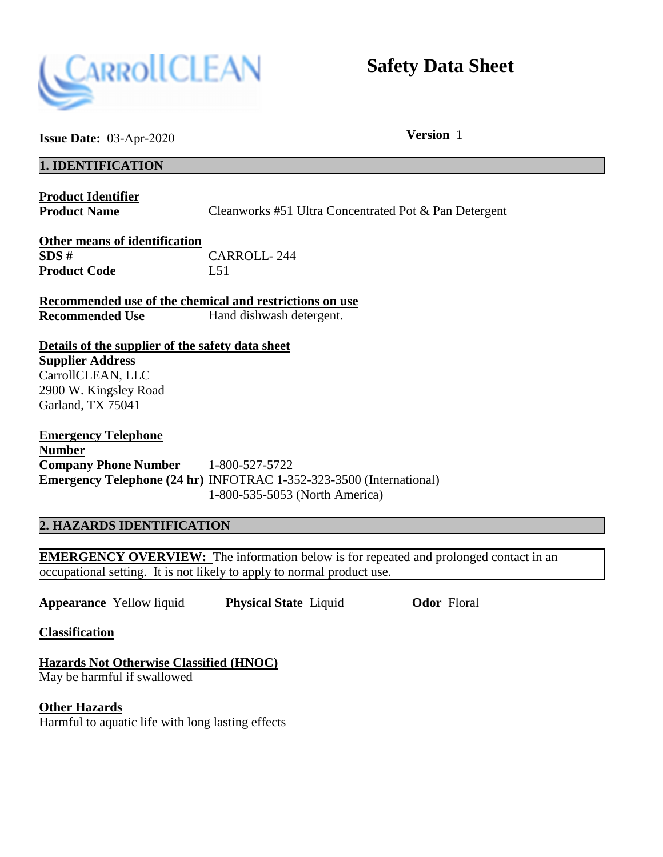

# **Safety Data Sheet**

**Issue Date:** 03-Apr-2020 **Version** 1

### **1. IDENTIFICATION**

**Product Identifier** 

**Product Name** Cleanworks #51 Ultra Concentrated Pot & Pan Detergent

**Other means of identification SDS #** CARROLL- 244 **Product Code** L51

**Recommended use of the chemical and restrictions on use Recommended Use Hand dishwash detergent.** 

**Details of the supplier of the safety data sheet Supplier Address**  CarrollCLEAN, LLC 2900 W. Kingsley Road Garland, TX 75041

**Emergency Telephone Number Company Phone Number** 1-800-527-5722 **Emergency Telephone (24 hr)** INFOTRAC 1-352-323-3500 (International) 1-800-535-5053 (North America)

## **2. HAZARDS IDENTIFICATION**

**EMERGENCY OVERVIEW:** The information below is for repeated and prolonged contact in an occupational setting. It is not likely to apply to normal product use.

**Appearance** Yellow liquid **Physical State** Liquid **Odor** Floral

**Classification** 

**Hazards Not Otherwise Classified (HNOC)**  May be harmful if swallowed

**Other Hazards**  Harmful to aquatic life with long lasting effects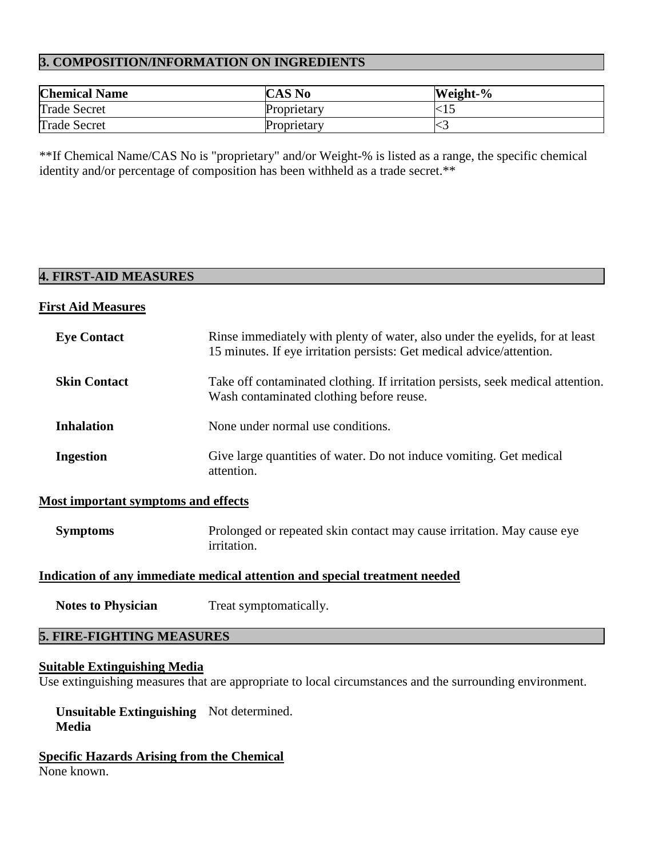#### **3. COMPOSITION/INFORMATION ON INGREDIENTS**

| <b>Chemical Name</b> | <b>CAS No</b> | Weight-% |
|----------------------|---------------|----------|
| <b>Trade Secret</b>  | Proprietary   | $< \!15$ |
| <b>Trade Secret</b>  | Proprietary   | ∽        |

\*\*If Chemical Name/CAS No is "proprietary" and/or Weight-% is listed as a range, the specific chemical identity and/or percentage of composition has been withheld as a trade secret.\*\*

#### **4. FIRST-AID MEASURES**

#### **First Aid Measures**

| <b>Eye Contact</b>  | Rinse immediately with plenty of water, also under the eyelids, for at least<br>15 minutes. If eye irritation persists: Get medical advice/attention. |
|---------------------|-------------------------------------------------------------------------------------------------------------------------------------------------------|
| <b>Skin Contact</b> | Take off contaminated clothing. If irritation persists, seek medical attention.<br>Wash contaminated clothing before reuse.                           |
| <b>Inhalation</b>   | None under normal use conditions.                                                                                                                     |
| <b>Ingestion</b>    | Give large quantities of water. Do not induce vomiting. Get medical<br>attention.                                                                     |

#### **Most important symptoms and effects**

**Symptoms** Prolonged or repeated skin contact may cause irritation. May cause eye irritation.

#### **Indication of any immediate medical attention and special treatment needed**

**Notes to Physician** Treat symptomatically.

# **5. FIRE-FIGHTING MEASURES**

#### **Suitable Extinguishing Media**

Use extinguishing measures that are appropriate to local circumstances and the surrounding environment.

 **Unsuitable Extinguishing**  Not determined. **Media** 

**Specific Hazards Arising from the Chemical**  None known.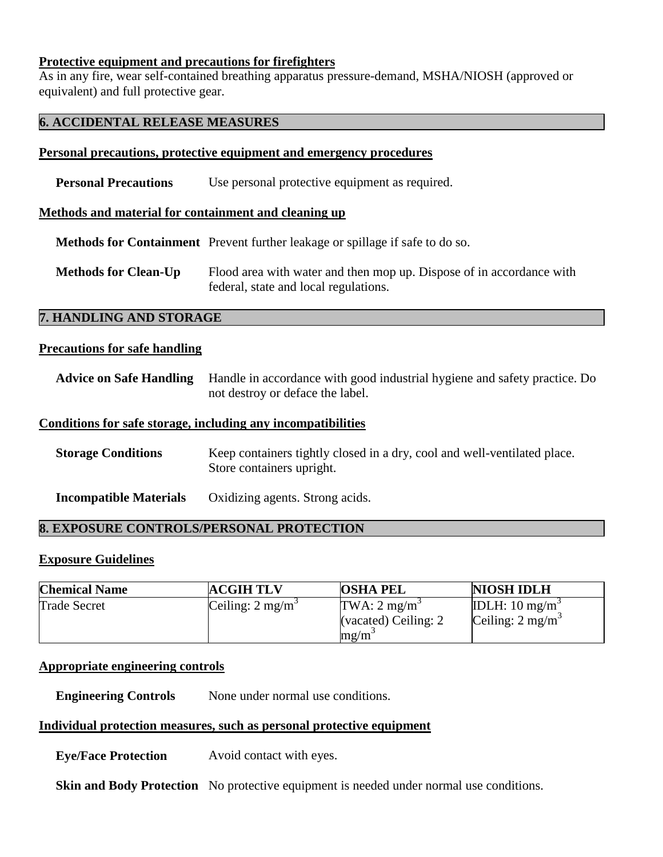#### **Protective equipment and precautions for firefighters**

As in any fire, wear self-contained breathing apparatus pressure-demand, MSHA/NIOSH (approved or equivalent) and full protective gear.

#### **6. ACCIDENTAL RELEASE MEASURES**

#### **Personal precautions, protective equipment and emergency procedures**

**Personal Precautions** Use personal protective equipment as required.

#### **Methods and material for containment and cleaning up**

 **Methods for Containment** Prevent further leakage or spillage if safe to do so.

**Methods for Clean-Up** Flood area with water and then mop up. Dispose of in accordance with federal, state and local regulations.

#### **7. HANDLING AND STORAGE**

#### **Precautions for safe handling**

| Advice on Safe Handling Handle in accordance with good industrial hygiene and safety practice. Do |
|---------------------------------------------------------------------------------------------------|
| not destroy or deface the label.                                                                  |

#### **Conditions for safe storage, including any incompatibilities**

| <b>Storage Conditions</b> | Keep containers tightly closed in a dry, cool and well-ventilated place. |
|---------------------------|--------------------------------------------------------------------------|
|                           | Store containers upright.                                                |
|                           |                                                                          |

#### **Incompatible Materials** Oxidizing agents. Strong acids.

#### **8. EXPOSURE CONTROLS/PERSONAL PROTECTION**

#### **Exposure Guidelines**

| <b>Chemical Name</b> | <b>ACGIH TLV</b>            | <b>OSHA PEL</b>                                             | <b>NIOSH IDLH</b>                                        |
|----------------------|-----------------------------|-------------------------------------------------------------|----------------------------------------------------------|
| <b>Trade Secret</b>  | Ceiling: $2 \text{ mg/m}^3$ | TWA: $2 \text{ mg/m}^3$<br>(vacated) Ceiling: 2<br>$mg/m^3$ | IDLH: $10 \text{ mg/m}^3$<br>Ceiling: $2 \text{ mg/m}^3$ |

#### **Appropriate engineering controls**

**Engineering Controls** None under normal use conditions.

#### **Individual protection measures, such as personal protective equipment**

 **Eye/Face Protection** Avoid contact with eyes.

**Skin and Body Protection** No protective equipment is needed under normal use conditions.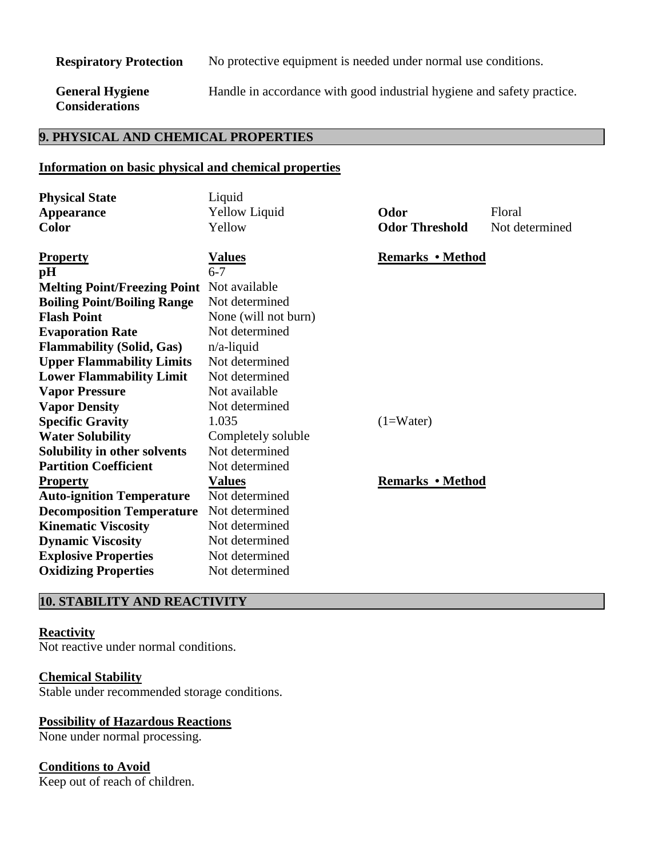**Respiratory Protection** No protective equipment is needed under normal use conditions.

 **General Hygiene Considerations** 

Handle in accordance with good industrial hygiene and safety practice.

# **9. PHYSICAL AND CHEMICAL PROPERTIES**

#### **Information on basic physical and chemical properties**

| <b>Physical State</b>                             | Liquid               |                         |                |
|---------------------------------------------------|----------------------|-------------------------|----------------|
| <b>Appearance</b>                                 | Yellow Liquid        | Odor                    | Floral         |
| <b>Color</b>                                      | Yellow               | <b>Odor Threshold</b>   | Not determined |
|                                                   |                      |                         |                |
| <b>Property</b>                                   | <u>Values</u>        | <b>Remarks • Method</b> |                |
| pH                                                | $6 - 7$              |                         |                |
| <b>Melting Point/Freezing Point</b> Not available |                      |                         |                |
| <b>Boiling Point/Boiling Range</b>                | Not determined       |                         |                |
| <b>Flash Point</b>                                | None (will not burn) |                         |                |
| <b>Evaporation Rate</b>                           | Not determined       |                         |                |
| <b>Flammability (Solid, Gas)</b>                  | $n/a$ -liquid        |                         |                |
| <b>Upper Flammability Limits</b>                  | Not determined       |                         |                |
| <b>Lower Flammability Limit</b>                   | Not determined       |                         |                |
| <b>Vapor Pressure</b>                             | Not available        |                         |                |
| <b>Vapor Density</b>                              | Not determined       |                         |                |
| <b>Specific Gravity</b>                           | 1.035                | $(1=Water)$             |                |
| <b>Water Solubility</b>                           | Completely soluble   |                         |                |
| Solubility in other solvents                      | Not determined       |                         |                |
| <b>Partition Coefficient</b>                      | Not determined       |                         |                |
| <b>Property</b>                                   | <b>Values</b>        | <b>Remarks • Method</b> |                |
| <b>Auto-ignition Temperature</b>                  | Not determined       |                         |                |
| <b>Decomposition Temperature</b>                  | Not determined       |                         |                |
| <b>Kinematic Viscosity</b>                        | Not determined       |                         |                |
| <b>Dynamic Viscosity</b>                          | Not determined       |                         |                |
| <b>Explosive Properties</b>                       | Not determined       |                         |                |
| <b>Oxidizing Properties</b>                       | Not determined       |                         |                |

# **10. STABILITY AND REACTIVITY**

#### **Reactivity**

Not reactive under normal conditions.

#### **Chemical Stability**

Stable under recommended storage conditions.

#### **Possibility of Hazardous Reactions**

None under normal processing.

#### **Conditions to Avoid**

Keep out of reach of children.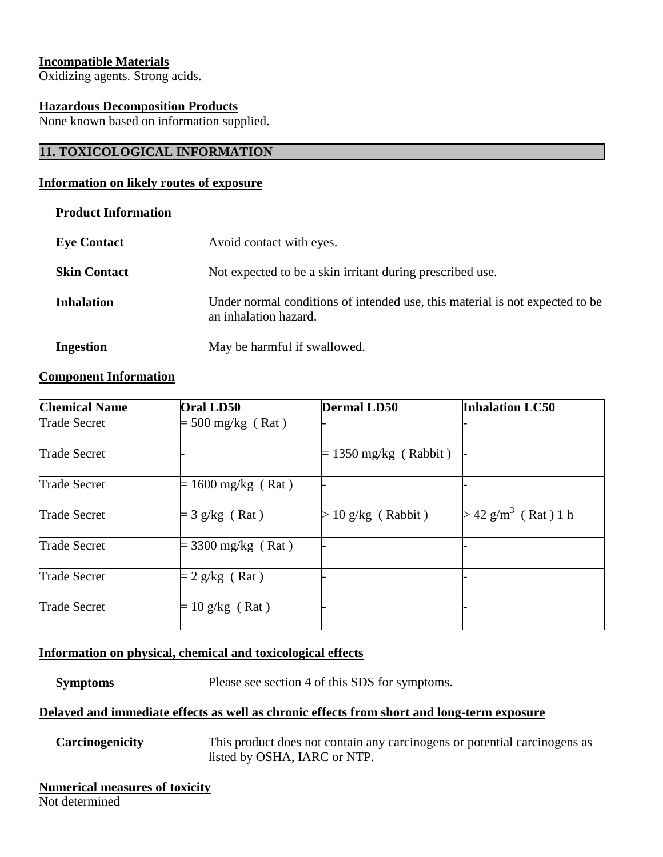#### **Incompatible Materials**

Oxidizing agents. Strong acids.

#### **Hazardous Decomposition Products**

None known based on information supplied.

# **11. TOXICOLOGICAL INFORMATION**

#### **Information on likely routes of exposure**

#### **Product Information**

| <b>Eye Contact</b>  | Avoid contact with eyes.                                                                              |
|---------------------|-------------------------------------------------------------------------------------------------------|
| <b>Skin Contact</b> | Not expected to be a skin irritant during prescribed use.                                             |
| <b>Inhalation</b>   | Under normal conditions of intended use, this material is not expected to be<br>an inhalation hazard. |
| <b>Ingestion</b>    | May be harmful if swallowed.                                                                          |

#### **Component Information**

| <b>Chemical Name</b> | Oral LD50            | <b>Dermal LD50</b>      | <b>Inhalation LC50</b>       |
|----------------------|----------------------|-------------------------|------------------------------|
| <b>Trade Secret</b>  | $= 500$ mg/kg (Rat)  |                         |                              |
| <b>Trade Secret</b>  |                      | $= 1350$ mg/kg (Rabbit) |                              |
| <b>Trade Secret</b>  | $= 1600$ mg/kg (Rat) |                         |                              |
| <b>Trade Secret</b>  | $=$ 3 g/kg (Rat)     | $> 10$ g/kg (Rabbit)    | $42 \text{ g/m}^3$ (Rat) 1 h |
| <b>Trade Secret</b>  | $=$ 3300 mg/kg (Rat) |                         |                              |
| <b>Trade Secret</b>  | $= 2$ g/kg (Rat)     |                         |                              |
| <b>Trade Secret</b>  | $= 10$ g/kg (Rat)    |                         |                              |

#### **Information on physical, chemical and toxicological effects**

**Symptoms** Please see section 4 of this SDS for symptoms.

#### **Delayed and immediate effects as well as chronic effects from short and long-term exposure**

 **Carcinogenicity** This product does not contain any carcinogens or potential carcinogens as listed by OSHA, IARC or NTP.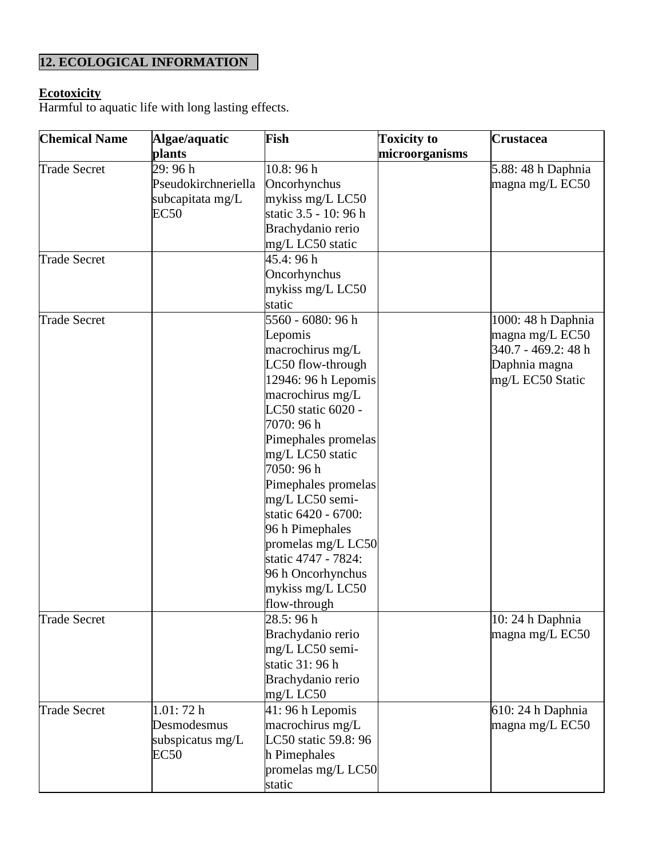# **12. ECOLOGICAL INFORMATION**

#### **Ecotoxicity**

Harmful to aquatic life with long lasting effects.

| <b>Chemical Name</b> | Algae/aquatic       | Fish                  | <b>Toxicity to</b> | Crustacea           |
|----------------------|---------------------|-----------------------|--------------------|---------------------|
|                      | plants              |                       | microorganisms     |                     |
| <b>Trade Secret</b>  | 29:96h              | 10.8:96h              |                    | 5.88: 48 h Daphnia  |
|                      | Pseudokirchneriella | Oncorhynchus          |                    | magna mg/L EC50     |
|                      | subcapitata mg/L    | mykiss mg/L LC50      |                    |                     |
|                      | <b>EC50</b>         | static 3.5 - 10: 96 h |                    |                     |
|                      |                     | Brachydanio rerio     |                    |                     |
|                      |                     | mg/L LC50 static      |                    |                     |
| <b>Trade Secret</b>  |                     | 45.4: 96 h            |                    |                     |
|                      |                     | Oncorhynchus          |                    |                     |
|                      |                     | mykiss mg/L LC50      |                    |                     |
|                      |                     | static                |                    |                     |
| <b>Trade Secret</b>  |                     | 5560 - 6080: 96 h     |                    | 1000: 48 h Daphnia  |
|                      |                     | Lepomis               |                    | magna mg/L EC50     |
|                      |                     | macrochirus mg/L      |                    | 340.7 - 469.2: 48 h |
|                      |                     | LC50 flow-through     |                    | Daphnia magna       |
|                      |                     | $12946:96 h$ Lepomis  |                    | mg/L EC50 Static    |
|                      |                     | macrochirus mg/L      |                    |                     |
|                      |                     | LC50 static 6020 -    |                    |                     |
|                      |                     | 7070: 96 h            |                    |                     |
|                      |                     | Pimephales promelas   |                    |                     |
|                      |                     | mg/L LC50 static      |                    |                     |
|                      |                     | 7050: 96 h            |                    |                     |
|                      |                     | Pimephales promelas   |                    |                     |
|                      |                     | mg/L LC50 semi-       |                    |                     |
|                      |                     | static 6420 - 6700:   |                    |                     |
|                      |                     | 96 h Pimephales       |                    |                     |
|                      |                     | promelas mg/L LC50    |                    |                     |
|                      |                     | static 4747 - 7824:   |                    |                     |
|                      |                     | 96 h Oncorhynchus     |                    |                     |
|                      |                     | mykiss mg/L LC50      |                    |                     |
|                      |                     | flow-through          |                    |                     |
| Trade Secret         |                     | 28.5: 96 h            |                    | 10: 24 h Daphnia    |
|                      |                     | Brachydanio rerio     |                    | magna mg/L EC50     |
|                      |                     | mg/L LC50 semi-       |                    |                     |
|                      |                     | static 31: 96 h       |                    |                     |
|                      |                     | Brachydanio rerio     |                    |                     |
|                      |                     | $mg/L$ LC50           |                    |                     |
| <b>Trade Secret</b>  | 1.01:72h            | 41:96 h Lepomis       |                    | 610: 24 h Daphnia   |
|                      | Desmodesmus         | macrochirus mg/L      |                    | magna mg/L EC50     |
|                      | subspicatus mg/L    | LC50 static 59.8: 96  |                    |                     |
|                      | EC50                | h Pimephales          |                    |                     |
|                      |                     | promelas mg/L LC50    |                    |                     |
|                      |                     | static                |                    |                     |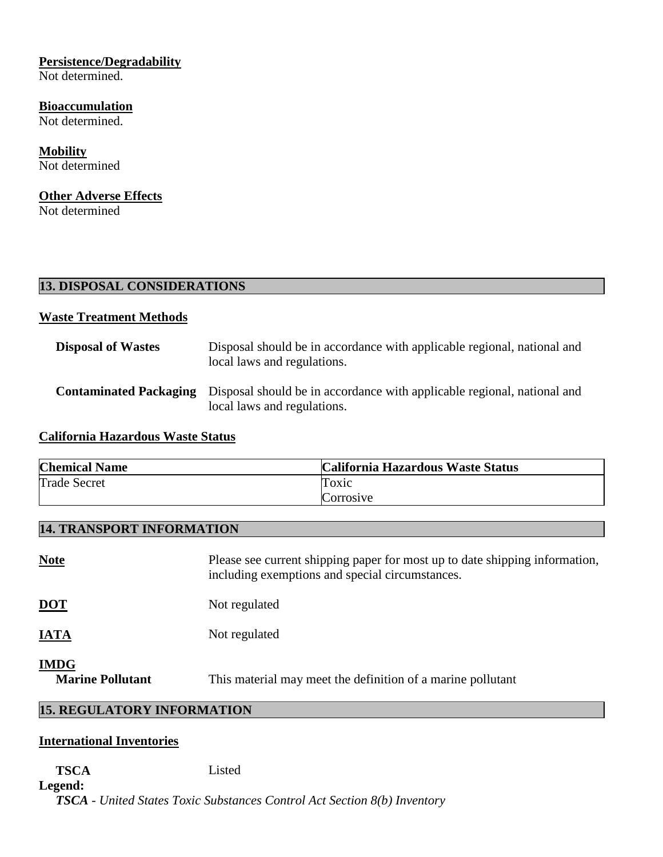# **Persistence/Degradability**

Not determined.

#### **Bioaccumulation**

Not determined.

**Mobility**  Not determined

## **Other Adverse Effects**

Not determined

| <b>13. DISPOSAL CONSIDERATIONS</b> |  |
|------------------------------------|--|
|                                    |  |

# **Waste Treatment Methods**

| <b>Disposal of Wastes</b> | Disposal should be in accordance with applicable regional, national and<br>local laws and regulations.                               |
|---------------------------|--------------------------------------------------------------------------------------------------------------------------------------|
|                           | <b>Contaminated Packaging</b> Disposal should be in accordance with applicable regional, national and<br>local laws and regulations. |

# **California Hazardous Waste Status**

| <b>Chemical Name</b> | California Hazardous Waste Status |
|----------------------|-----------------------------------|
| <b>Trade Secret</b>  | Toxic                             |
|                      | Corrosive                         |

## **14. TRANSPORT INFORMATION**

| <b>Note</b>                     | Please see current shipping paper for most up to date shipping information,<br>including exemptions and special circumstances. |
|---------------------------------|--------------------------------------------------------------------------------------------------------------------------------|
| <u>DOT</u>                      | Not regulated                                                                                                                  |
| IATA                            | Not regulated                                                                                                                  |
| IMDG<br><b>Marine Pollutant</b> | This material may meet the definition of a marine pollutant                                                                    |

# **15. REGULATORY INFORMATION**

# **International Inventories**

#### **TSCA** Listed **Legend:**

*TSCA - United States Toxic Substances Control Act Section 8(b) Inventory*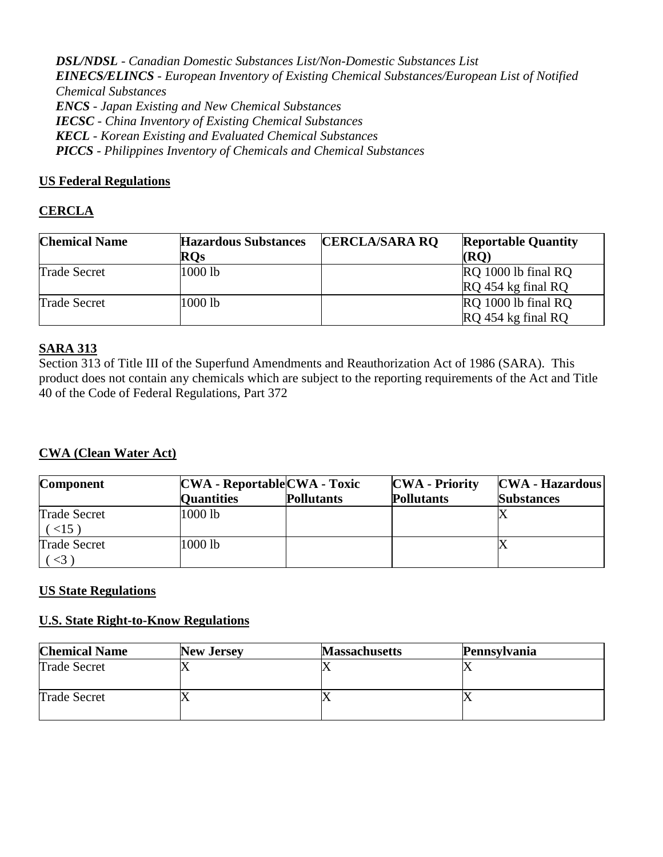*DSL/NDSL - Canadian Domestic Substances List/Non-Domestic Substances List EINECS/ELINCS - European Inventory of Existing Chemical Substances/European List of Notified Chemical Substances ENCS - Japan Existing and New Chemical Substances IECSC - China Inventory of Existing Chemical Substances KECL - Korean Existing and Evaluated Chemical Substances PICCS - Philippines Inventory of Chemicals and Chemical Substances* 

# **US Federal Regulations**

# **CERCLA**

| <b>Chemical Name</b> | <b>Hazardous Substances</b> | <b>CERCLA/SARA RO</b> | <b>Reportable Quantity</b>                |
|----------------------|-----------------------------|-----------------------|-------------------------------------------|
|                      | <b>ROs</b>                  |                       | (RO)                                      |
| <b>Trade Secret</b>  | $1000$ lb                   |                       | RQ 1000 lb final RQ                       |
| <b>Trade Secret</b>  | 1000 lb                     |                       | RQ 454 kg final RQ<br>RO 1000 lb final RO |
|                      |                             |                       | RQ 454 kg final RQ                        |

# **SARA 313**

Section 313 of Title III of the Superfund Amendments and Reauthorization Act of 1986 (SARA). This product does not contain any chemicals which are subject to the reporting requirements of the Act and Title 40 of the Code of Federal Regulations, Part 372

# **CWA (Clean Water Act)**

| <b>Component</b>               | $CWA - ReporthaleCWA - Toxic$ |                   | <b>CWA</b> - Priority | $ {\rm CWA}$ - Hazardous |
|--------------------------------|-------------------------------|-------------------|-----------------------|--------------------------|
|                                | <b>Quantities</b>             | <b>Pollutants</b> | <b>Pollutants</b>     | <b>Substances</b>        |
| <b>Trade Secret</b><br>$<15$ ) | 1000 lb                       |                   |                       |                          |
| <b>Trade Secret</b>            | 1000 lb                       |                   |                       |                          |

# **US State Regulations**

#### **U.S. State Right-to-Know Regulations**

| <b>Chemical Name</b> | <b>New Jersey</b> | <b>Massachusetts</b> | Pennsylvania |
|----------------------|-------------------|----------------------|--------------|
| <b>Trade Secret</b>  |                   |                      |              |
| <b>Trade Secret</b>  |                   |                      |              |